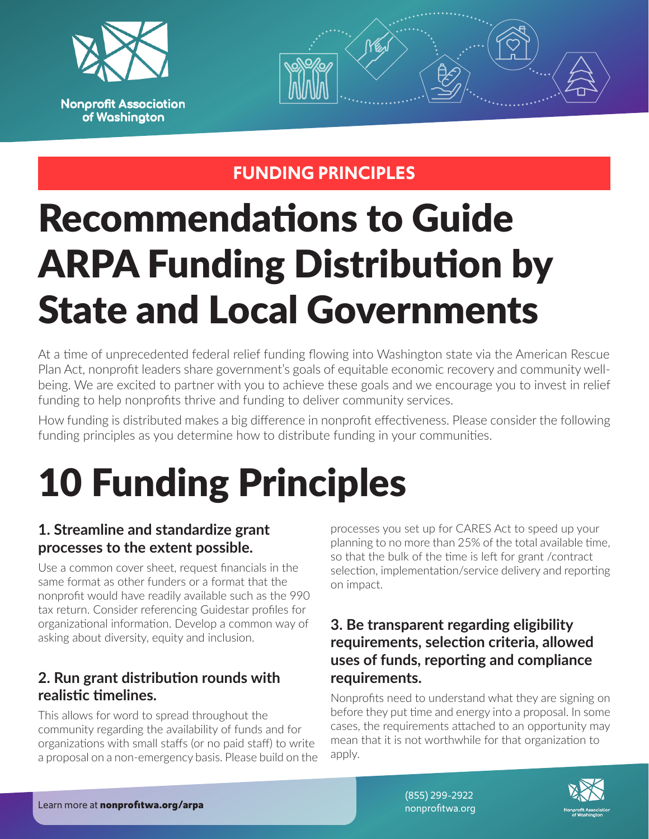



## **FUNDING PRINCIPLES**

# Recommendations to Guide ARPA Funding Distribution by State and Local Governments

At a time of unprecedented federal relief funding flowing into Washington state via the American Rescue Plan Act, nonprofit leaders share government's goals of equitable economic recovery and community wellbeing. We are excited to partner with you to achieve these goals and we encourage you to invest in relief funding to help nonprofits thrive and funding to deliver community services.

How funding is distributed makes a big difference in nonprofit effectiveness. Please consider the following funding principles as you determine how to distribute funding in your communities.

# 10 Funding Principles

#### **1. Streamline and standardize grant processes to the extent possible.**

Use a common cover sheet, request financials in the same format as other funders or a format that the nonprofit would have readily available such as the 990 tax return. Consider referencing Guidestar profiles for organizational information. Develop a common way of asking about diversity, equity and inclusion.

#### **2. Run grant distribution rounds with realistic timelines.**

This allows for word to spread throughout the community regarding the availability of funds and for organizations with small staffs (or no paid staff) to write a proposal on a non-emergency basis. Please build on the processes you set up for CARES Act to speed up your planning to no more than 25% of the total available time, so that the bulk of the time is left for grant /contract selection, implementation/service delivery and reporting on impact.

#### **3. Be transparent regarding eligibility requirements, selection criteria, allowed uses of funds, reporting and compliance requirements.**

Nonprofits need to understand what they are signing on before they put time and energy into a proposal. In some cases, the requirements attached to an opportunity may mean that it is not worthwhile for that organization to apply.



(855) 299-2922